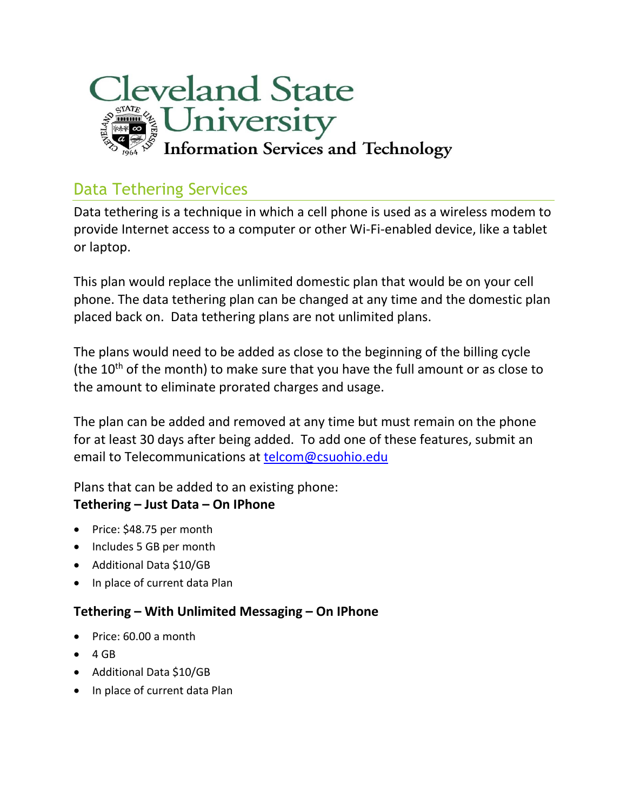

## Data Tethering Services

Data tethering is a technique in which a cell phone is used as a wireless modem to provide Internet access to a computer or other Wi-Fi-enabled device, like a tablet or laptop.

This plan would replace the unlimited domestic plan that would be on your cell phone. The data tethering plan can be changed at any time and the domestic plan placed back on. Data tethering plans are not unlimited plans.

The plans would need to be added as close to the beginning of the billing cycle (the  $10<sup>th</sup>$  of the month) to make sure that you have the full amount or as close to the amount to eliminate prorated charges and usage.

The plan can be added and removed at any time but must remain on the phone for at least 30 days after being added. To add one of these features, submit an email to Telecommunications at [telcom@csuohio.edu](mailto:telcom@csuohio.edu)

Plans that can be added to an existing phone: **Tethering – Just Data – On IPhone**

- Price: \$48.75 per month
- Includes 5 GB per month
- Additional Data \$10/GB
- In place of current data Plan

## **Tethering – With Unlimited Messaging – On IPhone**

- Price: 60.00 a month
- $\bullet$  4 GB
- Additional Data \$10/GB
- In place of current data Plan